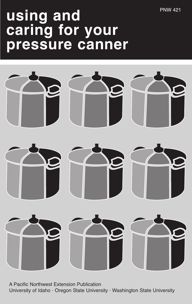# **using and caring for your pressure canner**



A Pacific Northwest Extension Publication University of Idaho · Oregon State University · Washington State University

PNW 421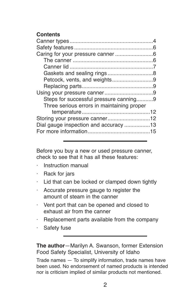## **Contents**

| Petcock, vents, and weights9               |  |
|--------------------------------------------|--|
|                                            |  |
|                                            |  |
| Steps for successful pressure canning9     |  |
| Three serious errors in maintaining proper |  |
|                                            |  |
|                                            |  |
| Dial gauge inspection and accuracy 13      |  |
|                                            |  |
|                                            |  |

Before you buy a new or used pressure canner, check to see that it has all these features:

- · Instruction manual
- Rack for jars
- · Lid that can be locked or clamped down tightly
- · Accurate pressure gauge to register the amount of steam in the canner
- · Vent port that can be opened and closed to exhaust air from the canner
- · Replacement parts available from the company
- · Safety fuse

**The author**—Marilyn A. Swanson, former Extension Food Safety Specialist, University of Idaho

Trade names — To simplify information, trade names have been used. No endorsement of named products is intended nor is criticism implied of similar products not mentioned.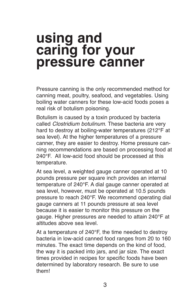# **using and caring for your pressure canner**

Pressure canning is the only recommended method for canning meat, poultry, seafood, and vegetables. Using boiling water canners for these low-acid foods poses a real risk of botulism poisoning.

Botulism is caused by a toxin produced by bacteria called *Clostridium botulinum*. These bacteria are very hard to destroy at boiling-water temperatures (212°F at sea level). At the higher temperatures of a pressure canner, they are easier to destroy. Home pressure canning recommendations are based on processing food at 240°F. All low-acid food should be processed at this temperature.

At sea level, a weighted gauge canner operated at 10 pounds pressure per square inch provides an internal temperature of 240°F. A dial gauge canner operated at sea level, however, must be operated at 10.5 pounds pressure to reach 240°F. We recommend operating dial gauge canners at 11 pounds pressure at sea level because it is easier to monitor this pressure on the gauge. Higher pressures are needed to attain 240°F at altitudes above sea level.

At a temperature of 240°F, the time needed to destroy bacteria in low-acid canned food ranges from 20 to 160 minutes. The exact time depends on the kind of food, the way it is packed into jars, and jar size. The exact times provided in recipes for specific foods have been determined by laboratory research. Be sure to use them!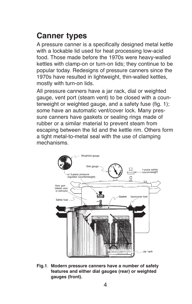# **Canner types**

A pressure canner is a specifically designed metal kettle with a lockable lid used for heat processing low-acid food. Those made before the 1970s were heavy-walled kettles with clamp-on or turn-on lids; they continue to be popular today. Redesigns of pressure canners since the 1970s have resulted in lightweight, thin-walled kettles, mostly with turn-on lids.

All pressure canners have a jar rack, dial or weighted gauge, vent port (steam vent) to be closed with a counterweight or weighted gauge, and a safety fuse (fig. 1); some have an automatic vent/cover lock. Many pressure canners have gaskets or sealing rings made of rubber or a similar material to prevent steam from escaping between the lid and the kettle rim. Others form a tight metal-to-metal seal with the use of clamping mechanisms.



**Fig.1**. **Modern pressure canners have a number of safety features and either dial gauges (rear) or weighted gauges (front).**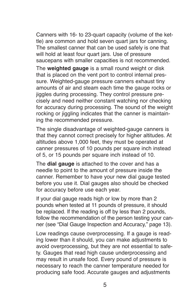Canners with 16- to 23-quart capacity (volume of the kettle) are common and hold seven quart jars for canning. The smallest canner that can be used safely is one that will hold at least four quart jars. Use of pressure saucepans with smaller capacities is not recommended.

The **weighted gauge** is a small round weight or disk that is placed on the vent port to control internal pressure. Weighted-gauge pressure canners exhaust tiny amounts of air and steam each time the gauge rocks or jiggles during processing. They control pressure precisely and need neither constant watching nor checking for accuracy during processing. The sound of the weight rocking or jiggling indicates that the canner is maintaining the recommended pressure.

The single disadvantage of weighted-gauge canners is that they cannot correct precisely for higher altitudes. At altitudes above 1,000 feet, they must be operated at canner pressures of 10 pounds per square inch instead of 5, or 15 pounds per square inch instead of 10.

The **dial gauge** is attached to the cover and has a needle to point to the amount of pressure inside the canner. Remember to have your new dial gauge tested before you use it. Dial gauges also should be checked for accuracy before use each year.

If your dial gauge reads high or low by more than 2 pounds when tested at 11 pounds of pressure, it should be replaced. If the reading is off by less than 2 pounds, follow the recommendation of the person testing your canner (see "Dial Gauge Inspection and Accuracy," page 13).

Low readings cause overprocessing. If a gauge is reading lower than it should, you can make adjustments to avoid overprocessing, but they are not essential to safety. Gauges that read high cause underprocessing and may result in unsafe food. Every pound of pressure is necessary to reach the canner temperature needed for producing safe food. Accurate gauges and adjustments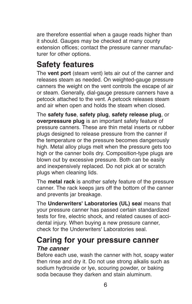are therefore essential when a gauge reads higher than it should. Gauges may be checked at many county extension offices; contact the pressure canner manufacturer for other options.

# **Safety features**

The **vent port** (steam vent) lets air out of the canner and releases steam as needed. On weighted-gauge pressure canners the weight on the vent controls the escape of air or steam. Generally, dial-gauge pressure canners have a petcock attached to the vent. A petcock releases steam and air when open and holds the steam when closed.

The **safety fuse**, **safety plug**, **safety release plug**, or **overpressure plug** is an important safety feature of pressure canners. These are thin metal inserts or rubber plugs designed to release pressure from the canner if the temperature or the pressure becomes dangerously high. Metal alloy plugs melt when the pressure gets too high or the canner boils dry. Composition-type plugs are blown out by excessive pressure. Both can be easily and inexpensively replaced. Do not pick at or scratch plugs when cleaning lids.

The **metal rack** is another safety feature of the pressure canner. The rack keeps jars off the bottom of the canner and prevents jar breakage.

The **Underwriters' Laboratories (UL) sea**l means that your pressure canner has passed certain standardized tests for fire, electric shock, and related causes of accidental injury. When buying a new pressure canner, check for the Underwriters' Laboratories seal.

## **Caring for your pressure canner** *The canner*

Before each use, wash the canner with hot, soapy water then rinse and dry it. Do not use strong alkalis such as sodium hydroxide or lye, scouring powder, or baking soda because they darken and stain aluminum.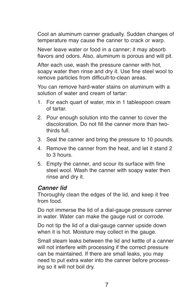Cool an aluminum canner gradually. Sudden changes of temperature may cause the canner to crack or warp.

Never leave water or food in a canner; it may absorb flavors and odors. Also, aluminum is porous and will pit.

After each use, wash the pressure canner with hot, soapy water then rinse and dry it. Use fine steel wool to remove particles from difficult-to-clean areas.

You can remove hard-water stains on aluminum with a solution of water and cream of tartar:

- 1. For each quart of water, mix in 1 tablespoon cream of tartar.
- 2. Pour enough solution into the canner to cover the discoloration. Do not fill the canner more than twothirds full.
- 3. Seal the canner and bring the pressure to 10 pounds.
- 4. Remove the canner from the heat, and let it stand 2 to 3 hours.
- 5. Empty the canner, and scour its surface with fine steel wool. Wash the canner with soapy water then rinse and dry it.

#### *Canner lid*

Thoroughly clean the edges of the lid, and keep it free from food.

Do not immerse the lid of a dial-gauge pressure canner in water. Water can make the gauge rust or corrode.

Do not tip the lid of a dial-gauge canner upside down when it is hot. Moisture may collect in the gauge.

Small steam leaks between the lid and kettle of a canner will not interfere with processing if the correct pressure can be maintained. If there are small leaks, you may need to put extra water into the canner before processing so it will not boil dry.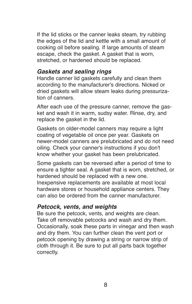If the lid sticks or the canner leaks steam, try rubbing the edges of the lid and kettle with a small amount of cooking oil before sealing. If large amounts of steam escape, check the gasket. A gasket that is worn, stretched, or hardened should be replaced.

### *Gaskets and sealing rings*

Handle canner lid gaskets carefully and clean them according to the manufacturer's directions. Nicked or dried gaskets will allow steam leaks during pressurization of canners.

After each use of the pressure canner, remove the gasket and wash it in warm, sudsy water. Rinse, dry, and replace the gasket in the lid.

Gaskets on older-model canners may require a light coating of vegetable oil once per year. Gaskets on newer-model canners are prelubricated and do not need oiling. Check your canner's instructions if you don't know whether your gasket has been prelubricated.

Some gaskets can be reversed after a period of time to ensure a tighter seal. A gasket that is worn, stretched, or hardened should be replaced with a new one. Inexpensive replacements are available at most local hardware stores or household appliance centers. They can also be ordered from the canner manufacturer.

#### *Petcock, vents, and weights*

Be sure the petcock, vents, and weights are clean. Take off removable petcocks and wash and dry them. Occasionally, soak these parts in vinegar and then wash and dry them. You can further clean the vent port or petcock opening by drawing a string or narrow strip of cloth through it. Be sure to put all parts back together correctly.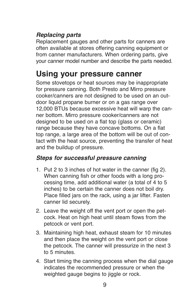## *Replacing parts*

Replacement gauges and other parts for canners are often available at stores offering canning equipment or from canner manufacturers. When ordering parts, give your canner model number and describe the parts needed.

# **Using your pressure canner**

Some stovetops or heat sources may be inappropriate for pressure canning. Both Presto and Mirro pressure cooker/canners are not designed to be used on an outdoor liquid propane burner or on a gas range over 12,000 BTUs because excessive heat will warp the canner bottom. Mirro pressure cooker/canners are not designed to be used on a flat top (glass or ceramic) range because they have concave bottoms. On a flat top range, a large area of the bottom will be out of contact with the heat source, preventing the transfer of heat and the buildup of pressure.

## *Steps for successful pressure canning*

- 1. Put 2 to 3 inches of hot water in the canner (fig 2). When canning fish or other foods with a long processing time, add additional water (a total of 4 to 5 inches) to be certain the canner does not boil dry. Place filled jars on the rack, using a jar lifter. Fasten canner lid securely.
- 2. Leave the weight off the vent port or open the petcock. Heat on high heat until steam flows from the petcock or vent port.
- 3. Maintaining high heat, exhaust steam for 10 minutes and then place the weight on the vent port or close the petcock. The canner will pressurize in the next 3 to 5 minutes.
- 4. Start timing the canning process when the dial gauge indicates the recommended pressure or when the weighted gauge begins to jiggle or rock.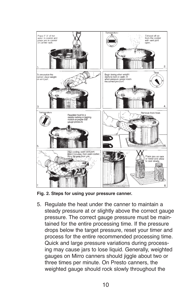

**Fig. 2. Steps for using your pressure canner.**

5. Regulate the heat under the canner to maintain a steady pressure at or slightly above the correct gauge pressure. The correct gauge pressure must be maintained for the entire processing time. If the pressure drops below the target pressure, reset your timer and process for the entire recommended processing time. Quick and large pressure variations during processing may cause jars to lose liquid. Generally, weighted gauges on Mirro canners should jiggle about two or three times per minute. On Presto canners, the weighted gauge should rock slowly throughout the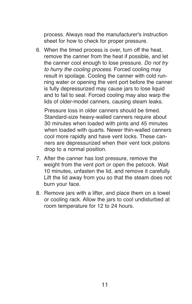process. Always read the manufacturer's instruction sheet for how to check for proper pressure.

6. When the timed process is over, turn off the heat, remove the canner from the heat if possible, and let the canner cool enough to lose pressure. *Do not try to hurry the cooling process*. Forced cooling may result in spoilage. Cooling the canner with cold running water or opening the vent port before the canner is fully depressurized may cause jars to lose liquid and to fail to seal. Forced cooling may also warp the lids of older-model canners, causing steam leaks.

Pressure loss in older canners should be timed. Standard-size heavy-walled canners require about 30 minutes when loaded with pints and 45 minutes when loaded with quarts. Newer thin-walled canners cool more rapidly and have vent locks. These canners are depressurized when their vent lock pistons drop to a normal position.

- 7. After the canner has lost pressure, remove the weight from the vent port or open the petcock. Wait 10 minutes, unfasten the lid, and remove it carefully. Lift the lid away from you so that the steam does not burn your face.
- 8. Remove jars with a lifter, and place them on a towel or cooling rack. Allow the jars to cool undisturbed at room temperature for 12 to 24 hours.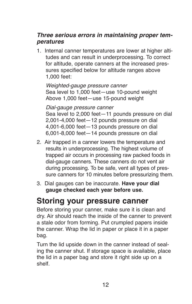## *Three serious errors in maintaining proper temperatures*

1. Internal canner temperatures are lower at higher altitudes and can result in underprocessing. To correct for altitude, operate canners at the increased pressures specified below for altitude ranges above 1,000 feet:

*Weighted-gauge pressure canner* Sea level to 1,000 feet—use 10-pound weight Above 1,000 feet—use 15-pound weight

*Dial-gauge pressure canner*

Sea level to 2,000 feet—11 pounds pressure on dial 2,001-4,000 feet—12 pounds pressure on dial 4,001-6,000 feet—13 pounds pressure on dial 6,001-8,000 feet—14 pounds pressure on dial

- 2. Air trapped in a canner lowers the temperature and results in underprocessing. The highest volume of trapped air occurs in processing raw packed foods in dial-gauge canners. These canners do not vent air during processing. To be safe, vent all types of pressure canners for 10 minutes before pressurizing them.
- 3. Dial gauges can be inaccurate. **Have your dial gauge checked each year before use.**

## **Storing your pressure canner**

Before storing your canner, make sure it is clean and dry. Air should reach the inside of the canner to prevent a stale odor from forming. Put crumpled papers inside the canner. Wrap the lid in paper or place it in a paper bag.

Turn the lid upside down in the canner instead of sealing the canner shut. If storage space is available, place the lid in a paper bag and store it right side up on a shelf.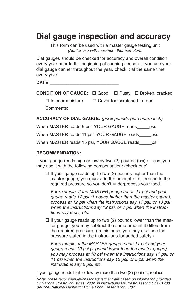## **Dial gauge inspection and accuracy**

This form can be used with a master gauge testing unit *(Not for use with maximum thermometers)*

Dial gauges should be checked for accuracy and overall condition every year prior to the beginning of canning season. If you use your dial gauge canner throughout the year, check it at the same time every year.

| DATE: |  |
|-------|--|
|       |  |

|  | <b>CONDITION OF GAUGE:</b> □ Good □ Rusty □ Broken, cracked |  |  |  |  |
|--|-------------------------------------------------------------|--|--|--|--|
|--|-------------------------------------------------------------|--|--|--|--|

 $\Pi$  Interior moisture  $\Pi$  Cover too scratched to read

Comments:**\_\_\_\_\_\_\_\_\_\_\_\_\_\_\_\_\_\_\_\_\_\_\_\_\_\_\_\_\_\_\_\_\_\_\_\_\_\_\_\_\_\_**

**ACCURACY OF DIAL GAUGE:** *(psi = pounds per square inch)*

When MASTER reads 5 psi, YOUR GAUGE reads psi.

When MASTER reads 11 psi, YOUR GAUGE reads psi.

When MASTER reads 15 psi, YOUR GAUGE reads\_\_\_\_\_psi.

#### **RECOMMENDATION:**

If your gauge reads high or low by two (2) pounds (psi) or less, you may use it with the following compensation: (check one)

 $\Box$  If your gauge reads up to two (2) pounds higher than the master gauge, you must add the amount of difference to the required pressure so you don't underprocess your food.

*For example, if the MASTER gauge reads 11 psi and your gauge reads 12 psi (1 pound higher than the master gauge), process at 12 psi when the instructions say 11 psi, or 13 psi when the instructions say 12 psi, or 7 psi when the instructions say 6 psi, etc.*

 $\Box$  If your gauge reads up to two (2) pounds lower than the master gauge, you may subtract the same amount it differs from the required pressure. (In this case, you may also use the pressure stated in the instructions for added safety.)

*For example, if the MASTER gauge reads 11 psi and your gauge reads 10 psi (1 pound lower than the master gauge), you may process at 10 psi when the instructions say 11 psi, or 11 psi when the instructions say 12 psi, or 5 psi when the instructions say 6 psi, etc.*

If your gauge reads high or low by more than two (2) pounds, replace.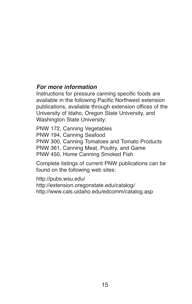## *For more information*

Instructions for pressure canning specific foods are available in the following Pacific Northwest extension publications, available through extension offices of the University of Idaho, Oregon State University, and Washington State University:

PNW 172, Canning Vegetables PNW 194, Canning Seafood PNW 300, Canning Tomatoes and Tomato Products PNW 361, Canning Meat, Poultry, and Game PNW 450, Home Canning Smoked Fish

Complete listings of current PNW publications can be found on the following web sites:

http://pubs.wsu.edu/ http://extension.oregonstate.edu/catalog/ http://www.cals.uidaho.edu/edcomm/catalog.asp